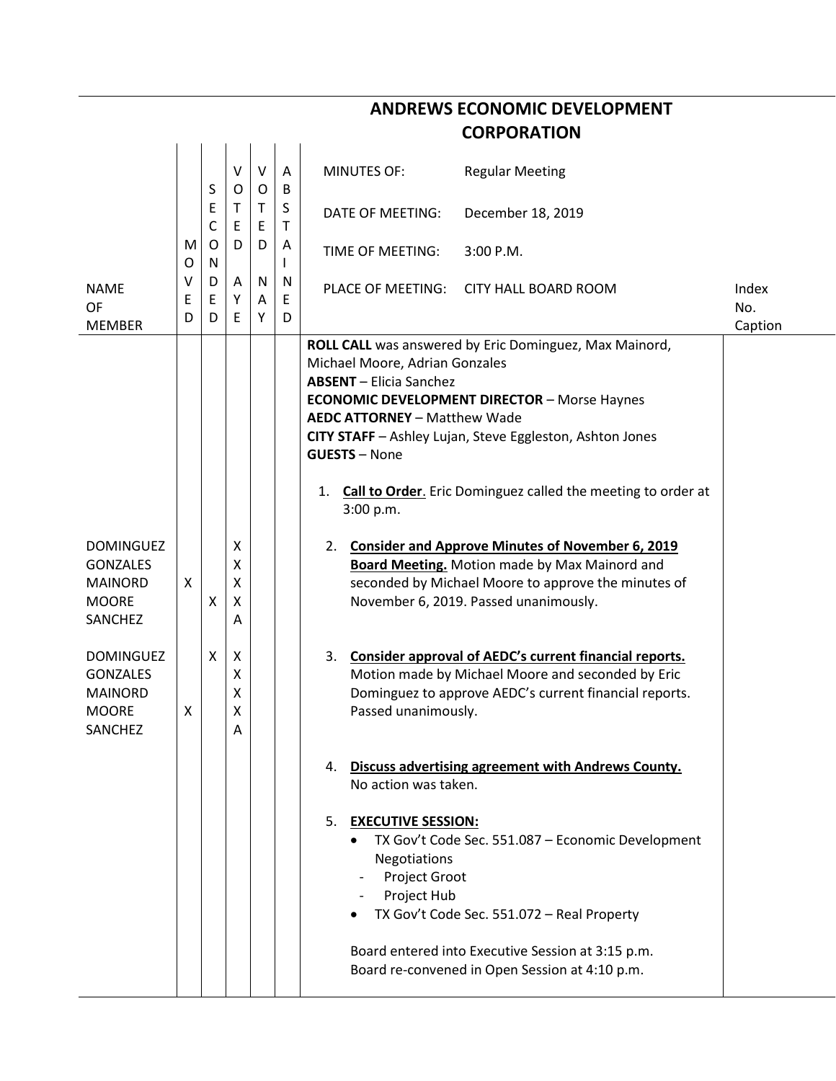| <b>CORPORATION</b>                                                                                                                                                                    |             |             |                                                |                  |                        |                                                                                                                                                                                                                                                                                                                                                                                                                                                                                                                                                                                                                                                                                                                                                                                                                                                                                                                                                                                                                                                                                      |                                                                                                                   |              |  |  |  |  |
|---------------------------------------------------------------------------------------------------------------------------------------------------------------------------------------|-------------|-------------|------------------------------------------------|------------------|------------------------|--------------------------------------------------------------------------------------------------------------------------------------------------------------------------------------------------------------------------------------------------------------------------------------------------------------------------------------------------------------------------------------------------------------------------------------------------------------------------------------------------------------------------------------------------------------------------------------------------------------------------------------------------------------------------------------------------------------------------------------------------------------------------------------------------------------------------------------------------------------------------------------------------------------------------------------------------------------------------------------------------------------------------------------------------------------------------------------|-------------------------------------------------------------------------------------------------------------------|--------------|--|--|--|--|
|                                                                                                                                                                                       |             | S           | $\vee$<br>O                                    | V<br>$\circ$     | A<br>B                 | <b>MINUTES OF:</b><br><b>Regular Meeting</b>                                                                                                                                                                                                                                                                                                                                                                                                                                                                                                                                                                                                                                                                                                                                                                                                                                                                                                                                                                                                                                         |                                                                                                                   |              |  |  |  |  |
|                                                                                                                                                                                       |             | E<br>С      | Τ<br>E                                         | $\mathsf T$<br>E | $\sf S$<br>$\mathsf T$ | <b>DATE OF MEETING:</b>                                                                                                                                                                                                                                                                                                                                                                                                                                                                                                                                                                                                                                                                                                                                                                                                                                                                                                                                                                                                                                                              | December 18, 2019                                                                                                 |              |  |  |  |  |
|                                                                                                                                                                                       | M<br>O      | O<br>N      | D                                              | D                | A                      | 3:00 P.M.<br>TIME OF MEETING:                                                                                                                                                                                                                                                                                                                                                                                                                                                                                                                                                                                                                                                                                                                                                                                                                                                                                                                                                                                                                                                        |                                                                                                                   |              |  |  |  |  |
| <b>NAME</b><br>OF                                                                                                                                                                     | ٧<br>E<br>D | D<br>E<br>D | Α<br>Υ<br>E                                    | N<br>Α<br>Y      | N<br>$\mathsf E$<br>D  | PLACE OF MEETING:                                                                                                                                                                                                                                                                                                                                                                                                                                                                                                                                                                                                                                                                                                                                                                                                                                                                                                                                                                                                                                                                    | <b>CITY HALL BOARD ROOM</b>                                                                                       | Index<br>No. |  |  |  |  |
| <b>MEMBER</b><br><b>DOMINGUEZ</b><br><b>GONZALES</b><br><b>MAINORD</b><br><b>MOORE</b><br>SANCHEZ<br><b>DOMINGUEZ</b><br><b>GONZALES</b><br><b>MAINORD</b><br><b>MOORE</b><br>SANCHEZ | X<br>X      | Х<br>X      | Χ<br>Χ<br>Χ<br>Χ<br>Α<br>Χ<br>Χ<br>х<br>Χ<br>Α |                  |                        | ROLL CALL was answered by Eric Dominguez, Max Mainord,<br>Michael Moore, Adrian Gonzales<br><b>ABSENT</b> - Elicia Sanchez<br><b>ECONOMIC DEVELOPMENT DIRECTOR - Morse Haynes</b><br><b>AEDC ATTORNEY - Matthew Wade</b><br>CITY STAFF - Ashley Lujan, Steve Eggleston, Ashton Jones<br><b>GUESTS - None</b><br>1.<br>3:00 p.m.<br><b>Consider and Approve Minutes of November 6, 2019</b><br>2.<br><b>Board Meeting.</b> Motion made by Max Mainord and<br>seconded by Michael Moore to approve the minutes of<br>November 6, 2019. Passed unanimously.<br>3. Consider approval of AEDC's current financial reports.<br>Motion made by Michael Moore and seconded by Eric<br>Dominguez to approve AEDC's current financial reports.<br>Passed unanimously.<br>4. Discuss advertising agreement with Andrews County.<br>No action was taken.<br><b>EXECUTIVE SESSION:</b><br>5.<br>Negotiations<br>Project Groot<br>Project Hub<br>TX Gov't Code Sec. 551.072 - Real Property<br>Board entered into Executive Session at 3:15 p.m.<br>Board re-convened in Open Session at 4:10 p.m. | Call to Order. Eric Dominguez called the meeting to order at<br>TX Gov't Code Sec. 551.087 - Economic Development | Caption      |  |  |  |  |

## **ANDREWS ECONOMIC DEVELOPMENT**